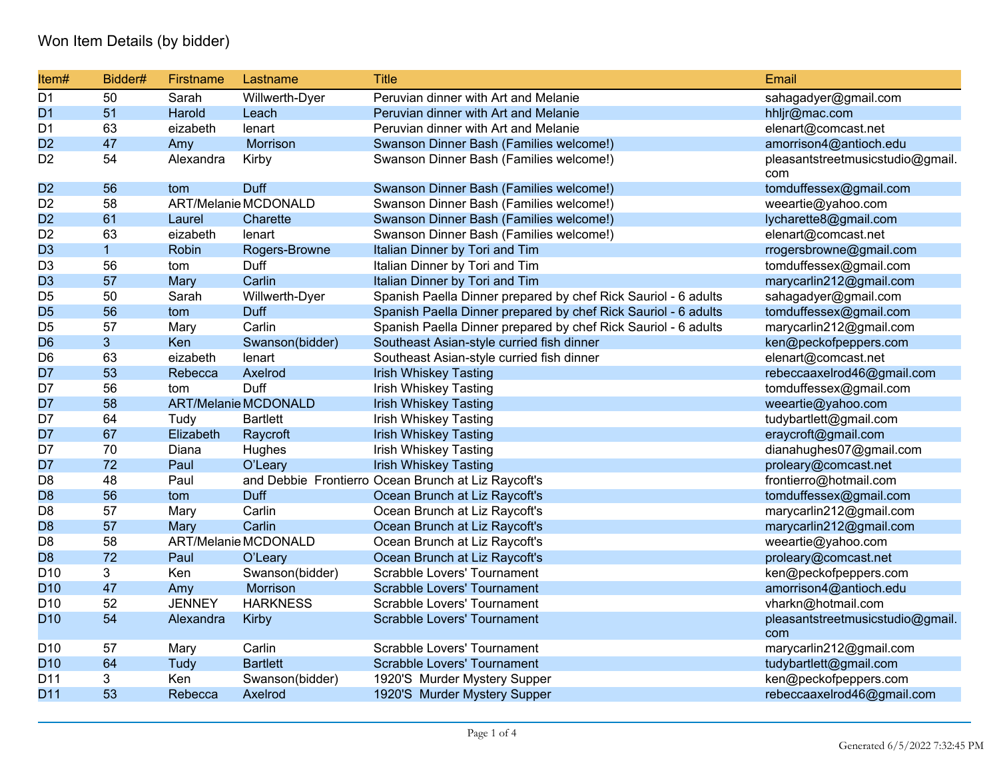## Won Item Details (by bidder)

| Item#           | Bidder#        | Firstname     | Lastname                    | <b>Title</b>                                                   | Email                                   |
|-----------------|----------------|---------------|-----------------------------|----------------------------------------------------------------|-----------------------------------------|
| D <sub>1</sub>  | 50             | Sarah         | Willwerth-Dyer              | Peruvian dinner with Art and Melanie                           | sahagadyer@gmail.com                    |
| D <sub>1</sub>  | 51             | Harold        | Leach                       | Peruvian dinner with Art and Melanie                           | hhljr@mac.com                           |
| D <sub>1</sub>  | 63             | eizabeth      | lenart                      | Peruvian dinner with Art and Melanie                           | elenart@comcast.net                     |
| D <sub>2</sub>  | 47             | Amy           | Morrison                    | Swanson Dinner Bash (Families welcome!)                        | amorrison4@antioch.edu                  |
| D <sub>2</sub>  | 54             | Alexandra     | Kirby                       | Swanson Dinner Bash (Families welcome!)                        | pleasantstreetmusicstudio@gmail.<br>com |
| D <sub>2</sub>  | 56             | tom           | Duff                        | Swanson Dinner Bash (Families welcome!)                        | tomduffessex@gmail.com                  |
| D <sub>2</sub>  | 58             |               | ART/Melanie MCDONALD        | Swanson Dinner Bash (Families welcome!)                        | weeartie@yahoo.com                      |
| D <sub>2</sub>  | 61             | Laurel        | Charette                    | Swanson Dinner Bash (Families welcome!)                        | lycharette8@gmail.com                   |
| D <sub>2</sub>  | 63             | eizabeth      | lenart                      | Swanson Dinner Bash (Families welcome!)                        | elenart@comcast.net                     |
| D <sub>3</sub>  | $\mathbf{1}$   | Robin         | Rogers-Browne               | Italian Dinner by Tori and Tim                                 | rrogersbrowne@gmail.com                 |
| D <sub>3</sub>  | 56             | tom           | Duff                        | Italian Dinner by Tori and Tim                                 | tomduffessex@gmail.com                  |
| D <sub>3</sub>  | 57             | Mary          | Carlin                      | Italian Dinner by Tori and Tim                                 | marycarlin212@gmail.com                 |
| D <sub>5</sub>  | 50             | Sarah         | Willwerth-Dyer              | Spanish Paella Dinner prepared by chef Rick Sauriol - 6 adults | sahagadyer@gmail.com                    |
| D <sub>5</sub>  | 56             | tom           | Duff                        | Spanish Paella Dinner prepared by chef Rick Sauriol - 6 adults | tomduffessex@gmail.com                  |
| D <sub>5</sub>  | 57             | Mary          | Carlin                      | Spanish Paella Dinner prepared by chef Rick Sauriol - 6 adults | marycarlin212@gmail.com                 |
| D <sub>6</sub>  | 3 <sup>1</sup> | Ken           | Swanson(bidder)             | Southeast Asian-style curried fish dinner                      | ken@peckofpeppers.com                   |
| D <sub>6</sub>  | 63             | eizabeth      | lenart                      | Southeast Asian-style curried fish dinner                      | elenart@comcast.net                     |
| D7              | 53             | Rebecca       | Axelrod                     | <b>Irish Whiskey Tasting</b>                                   | rebeccaaxelrod46@gmail.com              |
| D7              | 56             | tom           | Duff                        | <b>Irish Whiskey Tasting</b>                                   | tomduffessex@gmail.com                  |
| D7              | 58             |               | <b>ART/Melanie MCDONALD</b> | <b>Irish Whiskey Tasting</b>                                   | weeartie@yahoo.com                      |
| D7              | 64             | Tudy          | <b>Bartlett</b>             | <b>Irish Whiskey Tasting</b>                                   | tudybartlett@gmail.com                  |
| D7              | 67             | Elizabeth     | Raycroft                    | <b>Irish Whiskey Tasting</b>                                   | eraycroft@gmail.com                     |
| D7              | 70             | Diana         | Hughes                      | <b>Irish Whiskey Tasting</b>                                   | dianahughes07@gmail.com                 |
| D7              | 72             | Paul          | O'Leary                     | <b>Irish Whiskey Tasting</b>                                   | proleary@comcast.net                    |
| D <sub>8</sub>  | 48             | Paul          |                             | and Debbie Frontierro Ocean Brunch at Liz Raycoft's            | frontierro@hotmail.com                  |
| D <sub>8</sub>  | 56             | tom           | <b>Duff</b>                 | Ocean Brunch at Liz Raycoft's                                  | tomduffessex@gmail.com                  |
| D <sub>8</sub>  | 57             | Mary          | Carlin                      | Ocean Brunch at Liz Raycoft's                                  | marycarlin212@gmail.com                 |
| D <sub>8</sub>  | 57             | Mary          | Carlin                      | Ocean Brunch at Liz Raycoft's                                  | marycarlin212@gmail.com                 |
| D <sub>8</sub>  | 58             |               | ART/Melanie MCDONALD        | Ocean Brunch at Liz Raycoft's                                  | weeartie@yahoo.com                      |
| D <sub>8</sub>  | 72             | Paul          | O'Leary                     | Ocean Brunch at Liz Raycoft's                                  | proleary@comcast.net                    |
| D <sub>10</sub> | 3              | Ken           | Swanson(bidder)             | Scrabble Lovers' Tournament                                    | ken@peckofpeppers.com                   |
| D <sub>10</sub> | 47             | Amy           | Morrison                    | Scrabble Lovers' Tournament                                    | amorrison4@antioch.edu                  |
| D <sub>10</sub> | 52             | <b>JENNEY</b> | <b>HARKNESS</b>             | Scrabble Lovers' Tournament                                    | vharkn@hotmail.com                      |
| D <sub>10</sub> | 54             | Alexandra     | Kirby                       | Scrabble Lovers' Tournament                                    | pleasantstreetmusicstudio@gmail.<br>com |
| D <sub>10</sub> | 57             | Mary          | Carlin                      | Scrabble Lovers' Tournament                                    | marycarlin212@gmail.com                 |
| D <sub>10</sub> | 64             | Tudy          | <b>Bartlett</b>             | <b>Scrabble Lovers' Tournament</b>                             | tudybartlett@gmail.com                  |
| D11             | 3              | Ken           | Swanson(bidder)             | 1920'S Murder Mystery Supper                                   | ken@peckofpeppers.com                   |
| D <sub>11</sub> | 53             | Rebecca       | Axelrod                     | 1920'S Murder Mystery Supper                                   | rebeccaaxelrod46@gmail.com              |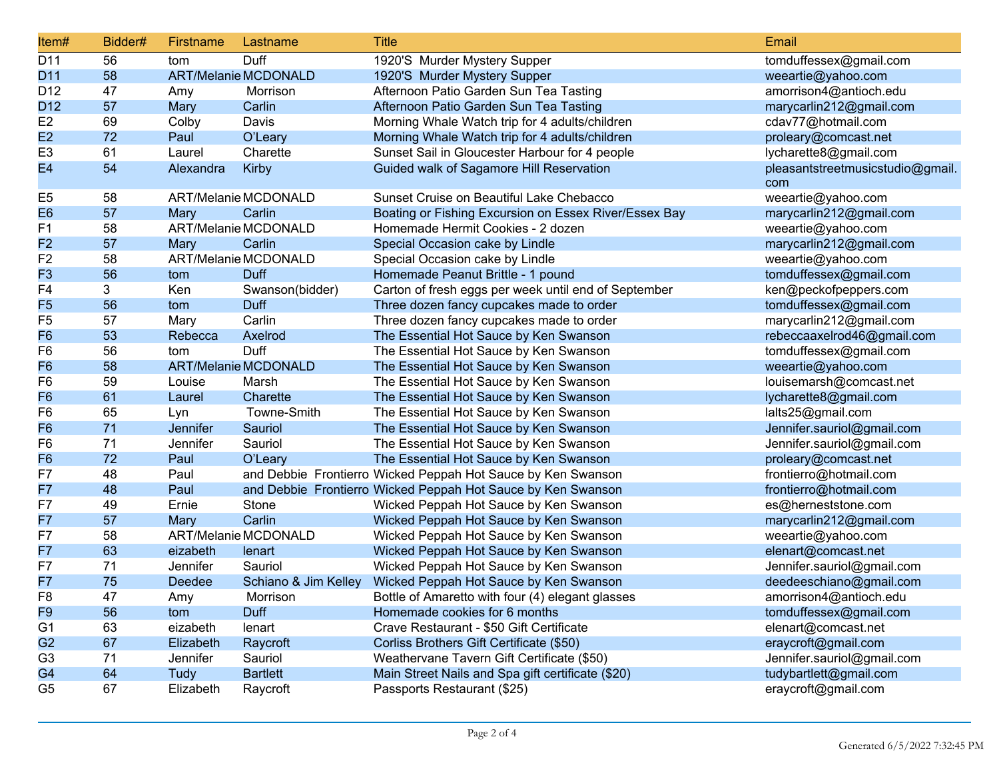| Item#           | Bidder# | Firstname | Lastname                    | <b>Title</b>                                                 | Email                                   |
|-----------------|---------|-----------|-----------------------------|--------------------------------------------------------------|-----------------------------------------|
| D11             | 56      | tom       | Duff                        | 1920'S Murder Mystery Supper                                 | tomduffessex@gmail.com                  |
| D11             | 58      |           | <b>ART/Melanie MCDONALD</b> | 1920'S Murder Mystery Supper                                 | weeartie@yahoo.com                      |
| D <sub>12</sub> | 47      | Amy       | Morrison                    | Afternoon Patio Garden Sun Tea Tasting                       | amorrison4@antioch.edu                  |
| D <sub>12</sub> | 57      | Mary      | Carlin                      | Afternoon Patio Garden Sun Tea Tasting                       | marycarlin212@gmail.com                 |
| E <sub>2</sub>  | 69      | Colby     | Davis                       | Morning Whale Watch trip for 4 adults/children               | cdav77@hotmail.com                      |
| E2              | 72      | Paul      | O'Leary                     | Morning Whale Watch trip for 4 adults/children               | proleary@comcast.net                    |
| E <sub>3</sub>  | 61      | Laurel    | Charette                    | Sunset Sail in Gloucester Harbour for 4 people               | lycharette8@gmail.com                   |
| E <sub>4</sub>  | 54      | Alexandra | Kirby                       | Guided walk of Sagamore Hill Reservation                     | pleasantstreetmusicstudio@gmail.<br>com |
| E <sub>5</sub>  | 58      |           | ART/Melanie MCDONALD        | Sunset Cruise on Beautiful Lake Chebacco                     | weeartie@yahoo.com                      |
| E <sub>6</sub>  | 57      | Mary      | Carlin                      | Boating or Fishing Excursion on Essex River/Essex Bay        | marycarlin212@gmail.com                 |
| F <sub>1</sub>  | 58      |           | ART/Melanie MCDONALD        | Homemade Hermit Cookies - 2 dozen                            | weeartie@yahoo.com                      |
| F <sub>2</sub>  | 57      | Mary      | Carlin                      | Special Occasion cake by Lindle                              | marycarlin212@gmail.com                 |
| F <sub>2</sub>  | 58      |           | ART/Melanie MCDONALD        | Special Occasion cake by Lindle                              | weeartie@yahoo.com                      |
| F <sub>3</sub>  | 56      | tom       | Duff                        | Homemade Peanut Brittle - 1 pound                            | tomduffessex@gmail.com                  |
| F <sub>4</sub>  | 3       | Ken       | Swanson(bidder)             | Carton of fresh eggs per week until end of September         | ken@peckofpeppers.com                   |
| F <sub>5</sub>  | 56      | tom       | Duff                        | Three dozen fancy cupcakes made to order                     | tomduffessex@gmail.com                  |
| F <sub>5</sub>  | 57      | Mary      | Carlin                      | Three dozen fancy cupcakes made to order                     | marycarlin212@gmail.com                 |
| F <sub>6</sub>  | 53      | Rebecca   | Axelrod                     | The Essential Hot Sauce by Ken Swanson                       | rebeccaaxelrod46@gmail.com              |
| F <sub>6</sub>  | 56      | tom       | Duff                        | The Essential Hot Sauce by Ken Swanson                       | tomduffessex@gmail.com                  |
| F <sub>6</sub>  | 58      |           | <b>ART/Melanie MCDONALD</b> | The Essential Hot Sauce by Ken Swanson                       | weeartie@yahoo.com                      |
| F <sub>6</sub>  | 59      | Louise    | Marsh                       | The Essential Hot Sauce by Ken Swanson                       | louisemarsh@comcast.net                 |
| F <sub>6</sub>  | 61      | Laurel    | Charette                    | The Essential Hot Sauce by Ken Swanson                       | lycharette8@gmail.com                   |
| F <sub>6</sub>  | 65      | Lyn       | Towne-Smith                 | The Essential Hot Sauce by Ken Swanson                       | lalts25@gmail.com                       |
| F <sub>6</sub>  | 71      | Jennifer  | Sauriol                     | The Essential Hot Sauce by Ken Swanson                       | Jennifer.sauriol@gmail.com              |
| F <sub>6</sub>  | 71      | Jennifer  | Sauriol                     | The Essential Hot Sauce by Ken Swanson                       | Jennifer.sauriol@gmail.com              |
| F <sub>6</sub>  | 72      | Paul      | O'Leary                     | The Essential Hot Sauce by Ken Swanson                       | proleary@comcast.net                    |
| F7              | 48      | Paul      |                             | and Debbie Frontierro Wicked Peppah Hot Sauce by Ken Swanson | frontierro@hotmail.com                  |
| F7              | 48      | Paul      |                             | and Debbie Frontierro Wicked Peppah Hot Sauce by Ken Swanson | frontierro@hotmail.com                  |
| F7              | 49      | Ernie     | Stone                       | Wicked Peppah Hot Sauce by Ken Swanson                       | es@herneststone.com                     |
| F7              | 57      | Mary      | Carlin                      | Wicked Peppah Hot Sauce by Ken Swanson                       | marycarlin212@gmail.com                 |
| F7              | 58      |           | ART/Melanie MCDONALD        | Wicked Peppah Hot Sauce by Ken Swanson                       | weeartie@yahoo.com                      |
| F7              | 63      | eizabeth  | lenart                      | Wicked Peppah Hot Sauce by Ken Swanson                       | elenart@comcast.net                     |
| F7              | 71      | Jennifer  | Sauriol                     | Wicked Peppah Hot Sauce by Ken Swanson                       | Jennifer.sauriol@gmail.com              |
| F7              | 75      | Deedee    | Schiano & Jim Kelley        | Wicked Peppah Hot Sauce by Ken Swanson                       | deedeeschiano@gmail.com                 |
| F <sub>8</sub>  | 47      | Amy       | Morrison                    | Bottle of Amaretto with four (4) elegant glasses             | amorrison4@antioch.edu                  |
| F9              | 56      | tom       | Duff                        | Homemade cookies for 6 months                                | tomduffessex@gmail.com                  |
| G <sub>1</sub>  | 63      | eizabeth  | lenart                      | Crave Restaurant - \$50 Gift Certificate                     | elenart@comcast.net                     |
| G <sub>2</sub>  | 67      | Elizabeth | Raycroft                    | Corliss Brothers Gift Certificate (\$50)                     | eraycroft@gmail.com                     |
| G <sub>3</sub>  | 71      | Jennifer  | Sauriol                     | Weathervane Tavern Gift Certificate (\$50)                   | Jennifer.sauriol@gmail.com              |
| G <sub>4</sub>  | 64      | Tudy      | <b>Bartlett</b>             | Main Street Nails and Spa gift certificate (\$20)            | tudybartlett@gmail.com                  |
| G <sub>5</sub>  | 67      | Elizabeth | Raycroft                    | Passports Restaurant (\$25)                                  | eraycroft@gmail.com                     |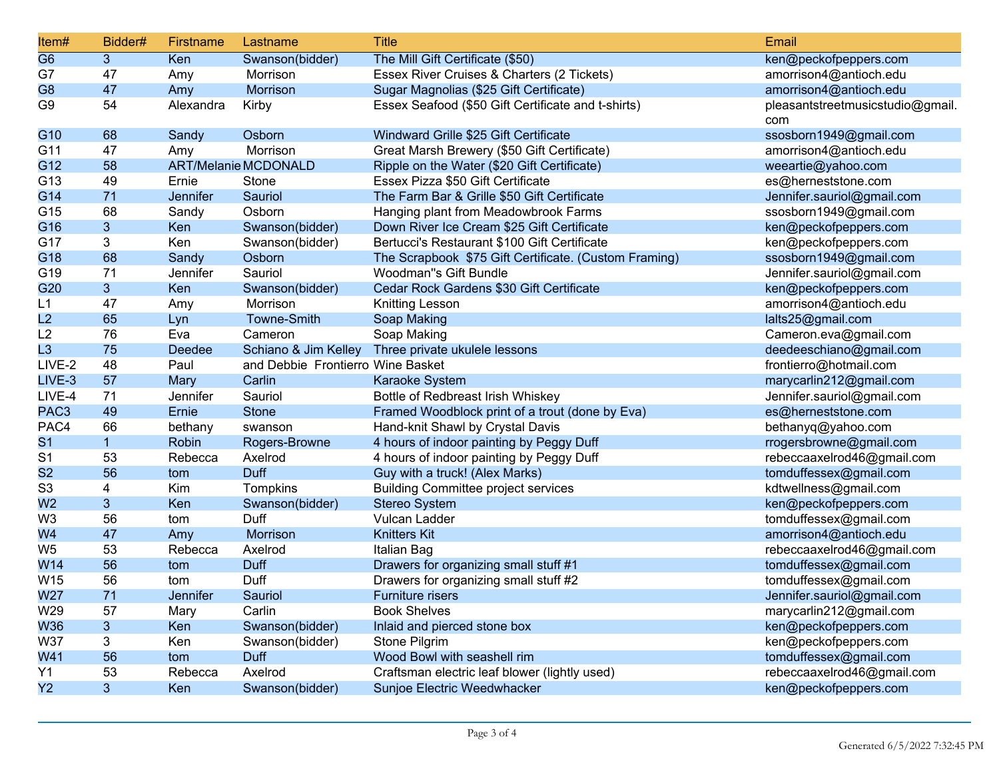| Item#            | Bidder#        | Firstname       | Lastname                          | <b>Title</b>                                          | Email                                   |
|------------------|----------------|-----------------|-----------------------------------|-------------------------------------------------------|-----------------------------------------|
| G <sub>6</sub>   | 3 <sup>1</sup> | Ken             | Swanson(bidder)                   | The Mill Gift Certificate (\$50)                      | ken@peckofpeppers.com                   |
| G7               | 47             | Amy             | Morrison                          | Essex River Cruises & Charters (2 Tickets)            | amorrison4@antioch.edu                  |
| G <sub>8</sub>   | 47             | Amy             | Morrison                          | Sugar Magnolias (\$25 Gift Certificate)               | amorrison4@antioch.edu                  |
| G <sub>9</sub>   | 54             | Alexandra       | Kirby                             | Essex Seafood (\$50 Gift Certificate and t-shirts)    | pleasantstreetmusicstudio@gmail.<br>com |
| G10              | 68             | Sandy           | Osborn                            | Windward Grille \$25 Gift Certificate                 | ssosborn1949@gmail.com                  |
| G11              | 47             | Amy             | Morrison                          | Great Marsh Brewery (\$50 Gift Certificate)           | amorrison4@antioch.edu                  |
| G12              | 58             |                 | <b>ART/Melanie MCDONALD</b>       | Ripple on the Water (\$20 Gift Certificate)           | weeartie@yahoo.com                      |
| G13              | 49             | Ernie           | Stone                             | Essex Pizza \$50 Gift Certificate                     | es@herneststone.com                     |
| G14              | 71             | <b>Jennifer</b> | Sauriol                           | The Farm Bar & Grille \$50 Gift Certificate           | Jennifer.sauriol@gmail.com              |
| G15              | 68             | Sandy           | Osborn                            | Hanging plant from Meadowbrook Farms                  | ssosborn1949@gmail.com                  |
| G16              | 3              | Ken             | Swanson(bidder)                   | Down River Ice Cream \$25 Gift Certificate            | ken@peckofpeppers.com                   |
| G17              | 3              | Ken             | Swanson(bidder)                   | Bertucci's Restaurant \$100 Gift Certificate          | ken@peckofpeppers.com                   |
| G18              | 68             | Sandy           | Osborn                            | The Scrapbook \$75 Gift Certificate. (Custom Framing) | ssosborn1949@gmail.com                  |
| G19              | 71             | Jennifer        | Sauriol                           | Woodman"s Gift Bundle                                 | Jennifer.sauriol@gmail.com              |
| G20              | $\overline{3}$ | Ken             | Swanson(bidder)                   | Cedar Rock Gardens \$30 Gift Certificate              | ken@peckofpeppers.com                   |
| L1               | 47             | Amy             | Morrison                          | Knitting Lesson                                       | amorrison4@antioch.edu                  |
| L2               | 65             | Lyn             | Towne-Smith                       | Soap Making                                           | lalts25@gmail.com                       |
| L2               | 76             | Eva             | Cameron                           | Soap Making                                           | Cameron.eva@gmail.com                   |
| L <sub>3</sub>   | 75             | <b>Deedee</b>   | Schiano & Jim Kelley              | Three private ukulele lessons                         | deedeeschiano@gmail.com                 |
| LIVE-2           | 48             | Paul            | and Debbie Frontierro Wine Basket |                                                       | frontierro@hotmail.com                  |
| LIVE-3           | 57             | Mary            | Carlin                            | Karaoke System                                        | marycarlin212@gmail.com                 |
| LIVE-4           | 71             | Jennifer        | Sauriol                           | Bottle of Redbreast Irish Whiskey                     | Jennifer.sauriol@gmail.com              |
| PAC <sub>3</sub> | 49             | Ernie           | <b>Stone</b>                      | Framed Woodblock print of a trout (done by Eva)       | es@herneststone.com                     |
| PAC4             | 66             | bethany         | swanson                           | Hand-knit Shawl by Crystal Davis                      | bethanyq@yahoo.com                      |
| S <sub>1</sub>   |                | Robin           | Rogers-Browne                     | 4 hours of indoor painting by Peggy Duff              | rrogersbrowne@gmail.com                 |
| S <sub>1</sub>   | 53             | Rebecca         | Axelrod                           | 4 hours of indoor painting by Peggy Duff              | rebeccaaxelrod46@gmail.com              |
| S <sub>2</sub>   | 56             | tom             | Duff                              | Guy with a truck! (Alex Marks)                        | tomduffessex@gmail.com                  |
| S <sub>3</sub>   | 4              | Kim             | Tompkins                          | <b>Building Committee project services</b>            | kdtwellness@gmail.com                   |
| W <sub>2</sub>   | $\overline{3}$ | Ken             | Swanson(bidder)                   | <b>Stereo System</b>                                  | ken@peckofpeppers.com                   |
| W <sub>3</sub>   | 56             | tom             | Duff                              | Vulcan Ladder                                         | tomduffessex@gmail.com                  |
| W4               | 47             | Amy             | Morrison                          | <b>Knitters Kit</b>                                   | amorrison4@antioch.edu                  |
| W <sub>5</sub>   | 53             | Rebecca         | Axelrod                           | Italian Bag                                           | rebeccaaxelrod46@gmail.com              |
| W14              | 56             | tom             | Duff                              | Drawers for organizing small stuff #1                 | tomduffessex@gmail.com                  |
| W15              | 56             | tom             | Duff                              | Drawers for organizing small stuff #2                 | tomduffessex@gmail.com                  |
| W27              | 71             | Jennifer        | Sauriol                           | <b>Furniture risers</b>                               | Jennifer.sauriol@gmail.com              |
| W29              | 57             | Mary            | Carlin                            | <b>Book Shelves</b>                                   | marycarlin212@gmail.com                 |
| <b>W36</b>       | 3.             | Ken             | Swanson(bidder)                   | Inlaid and pierced stone box                          | ken@peckofpeppers.com                   |
| <b>W37</b>       | 3              | Ken             | Swanson(bidder)                   | Stone Pilgrim                                         | ken@peckofpeppers.com                   |
| W41              | 56             | tom             | Duff                              | Wood Bowl with seashell rim                           | tomduffessex@gmail.com                  |
| Y1               | 53             | Rebecca         | Axelrod                           | Craftsman electric leaf blower (lightly used)         | rebeccaaxelrod46@gmail.com              |
| Y2               | 3              | Ken             | Swanson(bidder)                   | Sunjoe Electric Weedwhacker                           | ken@peckofpeppers.com                   |